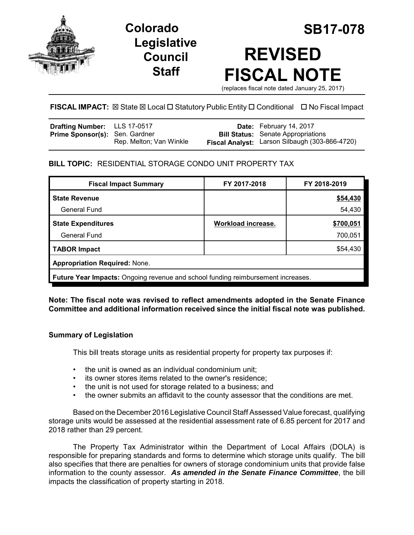

**Legislative Council Staff**

# **Colorado SB17-078 REVISED FISCAL NOTE**

(replaces fiscal note dated January 25, 2017)

# **FISCAL IMPACT:**  $\boxtimes$  State  $\boxtimes$  Local  $\Box$  Statutory Public Entity  $\Box$  Conditional  $\Box$  No Fiscal Impact

| <b>Drafting Number:</b> LLS 17-0517   |                         | Date: February 14, 2017                                                                     |
|---------------------------------------|-------------------------|---------------------------------------------------------------------------------------------|
| <b>Prime Sponsor(s): Sen. Gardner</b> | Rep. Melton; Van Winkle | <b>Bill Status:</b> Senate Appropriations<br>Fiscal Analyst: Larson Silbaugh (303-866-4720) |
|                                       |                         |                                                                                             |

## **BILL TOPIC:** RESIDENTIAL STORAGE CONDO UNIT PROPERTY TAX

| <b>Fiscal Impact Summary</b>                                                            | FY 2017-2018       | FY 2018-2019 |  |  |
|-----------------------------------------------------------------------------------------|--------------------|--------------|--|--|
| <b>State Revenue</b>                                                                    |                    | \$54,430     |  |  |
| <b>General Fund</b>                                                                     |                    | 54,430       |  |  |
| <b>State Expenditures</b>                                                               | Workload increase. | \$700,051    |  |  |
| General Fund                                                                            |                    | 700,051      |  |  |
| <b>TABOR Impact</b>                                                                     |                    | \$54,430     |  |  |
| <b>Appropriation Required: None.</b>                                                    |                    |              |  |  |
| <b>Future Year Impacts:</b> Ongoing revenue and school funding reimbursement increases. |                    |              |  |  |

## **Note: The fiscal note was revised to reflect amendments adopted in the Senate Finance Committee and additional information received since the initial fiscal note was published.**

## **Summary of Legislation**

This bill treats storage units as residential property for property tax purposes if:

- the unit is owned as an individual condominium unit;
- its owner stores items related to the owner's residence;
- the unit is not used for storage related to a business; and
- the owner submits an affidavit to the county assessor that the conditions are met.

Based on the December 2016 Legislative Council Staff Assessed Value forecast, qualifying storage units would be assessed at the residential assessment rate of 6.85 percent for 2017 and 2018 rather than 29 percent.

The Property Tax Administrator within the Department of Local Affairs (DOLA) is responsible for preparing standards and forms to determine which storage units qualify. The bill also specifies that there are penalties for owners of storage condominium units that provide false information to the county assessor. *As amended in the Senate Finance Committee*, the bill impacts the classification of property starting in 2018.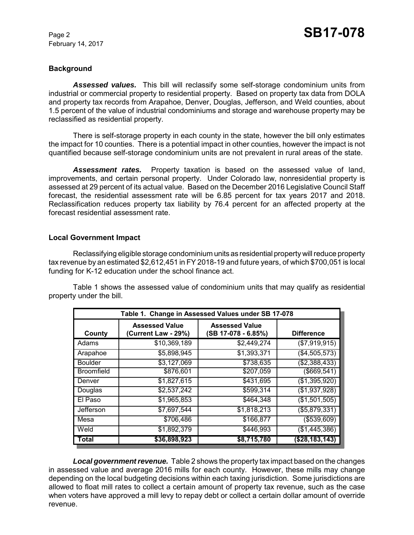February 14, 2017

## **Background**

*Assessed values.* This bill will reclassify some self-storage condominium units from industrial or commercial property to residential property. Based on property tax data from DOLA and property tax records from Arapahoe, Denver, Douglas, Jefferson, and Weld counties, about 1.5 percent of the value of industrial condominiums and storage and warehouse property may be reclassified as residential property.

There is self-storage property in each county in the state, however the bill only estimates the impact for 10 counties. There is a potential impact in other counties, however the impact is not quantified because self-storage condominium units are not prevalent in rural areas of the state.

*Assessment rates.* Property taxation is based on the assessed value of land, improvements, and certain personal property. Under Colorado law, nonresidential property is assessed at 29 percent of its actual value. Based on the December 2016 Legislative Council Staff forecast, the residential assessment rate will be 6.85 percent for tax years 2017 and 2018. Reclassification reduces property tax liability by 76.4 percent for an affected property at the forecast residential assessment rate.

#### **Local Government Impact**

Reclassifying eligible storage condominium units as residential property will reduce property tax revenue by an estimated \$2,612,451 in FY 2018-19 and future years, of which \$700,051 is local funding for K-12 education under the school finance act.

Table 1 shows the assessed value of condominium units that may qualify as residential property under the bill.

| Table 1. Change in Assessed Values under SB 17-078 |                                              |                                              |                   |  |
|----------------------------------------------------|----------------------------------------------|----------------------------------------------|-------------------|--|
| County                                             | <b>Assessed Value</b><br>(Current Law - 29%) | <b>Assessed Value</b><br>(SB 17-078 - 6.85%) | <b>Difference</b> |  |
| Adams                                              | \$10,369,189                                 | \$2,449,274                                  | (\$7,919,915)     |  |
| Arapahoe                                           | \$5,898,945                                  | \$1,393,371                                  | (\$4,505,573)     |  |
| <b>Boulder</b>                                     | \$3,127,069                                  | \$738,635                                    | (\$2,388,433)     |  |
| <b>Broomfield</b>                                  | \$876,601                                    | \$207,059                                    | (\$669,541)       |  |
| Denver                                             | \$1,827,615                                  | \$431,695                                    | (\$1,395,920)     |  |
| Douglas                                            | \$2,537,242                                  | \$599,314                                    | (\$1,937,928)     |  |
| El Paso                                            | \$1,965,853                                  | \$464,348                                    | (\$1,501,505)     |  |
| Jefferson                                          | \$7,697,544                                  | \$1,818,213                                  | (\$5,879,331)     |  |
| Mesa                                               | \$706,486                                    | \$166,877                                    | ( \$539, 609)     |  |
| $\overline{\mathsf{W}}$ eld                        | \$1,892,379                                  | \$446,993                                    | (\$1,445,386)     |  |
| Total                                              | \$36,898,923                                 | \$8,715,780                                  | (\$28,183,143)    |  |

*Local government revenue.* Table 2 shows the property tax impact based on the changes in assessed value and average 2016 mills for each county. However, these mills may change depending on the local budgeting decisions within each taxing jurisdiction. Some jurisdictions are allowed to float mill rates to collect a certain amount of property tax revenue, such as the case when voters have approved a mill levy to repay debt or collect a certain dollar amount of override revenue.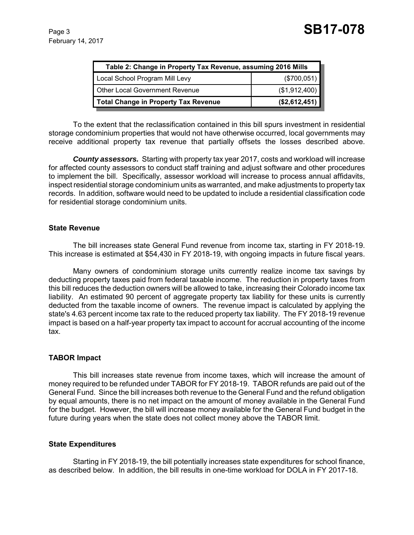| Table 2: Change in Property Tax Revenue, assuming 2016 Mills |               |  |
|--------------------------------------------------------------|---------------|--|
| Local School Program Mill Levy                               | $(\$700,051)$ |  |
| <b>Other Local Government Revenue</b>                        | (\$1,912,400) |  |
| <b>Total Change in Property Tax Revenue</b>                  | (\$2,612,451) |  |

To the extent that the reclassification contained in this bill spurs investment in residential storage condominium properties that would not have otherwise occurred, local governments may receive additional property tax revenue that partially offsets the losses described above.

*County assessors.* Starting with property tax year 2017, costs and workload will increase for affected county assessors to conduct staff training and adjust software and other procedures to implement the bill. Specifically, assessor workload will increase to process annual affidavits, inspect residential storage condominium units as warranted, and make adjustments to property tax records. In addition, software would need to be updated to include a residential classification code for residential storage condominium units.

#### **State Revenue**

The bill increases state General Fund revenue from income tax, starting in FY 2018-19. This increase is estimated at \$54,430 in FY 2018-19, with ongoing impacts in future fiscal years.

Many owners of condominium storage units currently realize income tax savings by deducting property taxes paid from federal taxable income. The reduction in property taxes from this bill reduces the deduction owners will be allowed to take, increasing their Colorado income tax liability. An estimated 90 percent of aggregate property tax liability for these units is currently deducted from the taxable income of owners. The revenue impact is calculated by applying the state's 4.63 percent income tax rate to the reduced property tax liability. The FY 2018-19 revenue impact is based on a half-year property tax impact to account for accrual accounting of the income tax.

#### **TABOR Impact**

This bill increases state revenue from income taxes, which will increase the amount of money required to be refunded under TABOR for FY 2018-19. TABOR refunds are paid out of the General Fund. Since the bill increases both revenue to the General Fund and the refund obligation by equal amounts, there is no net impact on the amount of money available in the General Fund for the budget. However, the bill will increase money available for the General Fund budget in the future during years when the state does not collect money above the TABOR limit.

#### **State Expenditures**

Starting in FY 2018-19, the bill potentially increases state expenditures for school finance, as described below. In addition, the bill results in one-time workload for DOLA in FY 2017-18.